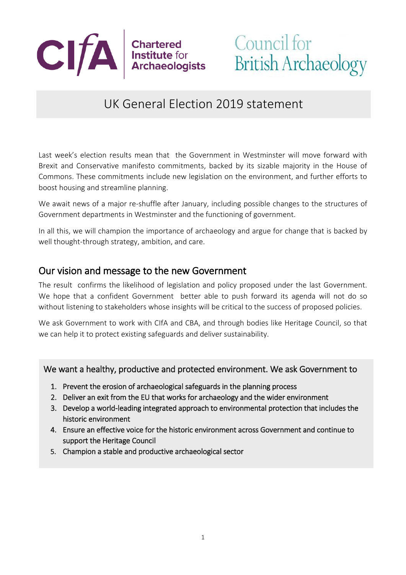

# UK General Election 2019 statement

Last week's election results mean that the Government in Westminster will move forward with Brexit and Conservative manifesto commitments, backed by its sizable majority in the House of Commons. These commitments include new legislation on the environment, and further efforts to boost housing and streamline planning.

We await news of a major re-shuffle after January, including possible changes to the structures of Government departments in Westminster and the functioning of government.

In all this, we will champion the importance of archaeology and argue for change that is backed by well thought-through strategy, ambition, and care.

### Our vision and message to the new Government

The result confirms the likelihood of legislation and policy proposed under the last Government. We hope that a confident Government better able to push forward its agenda will not do so without listening to stakeholders whose insights will be critical to the success of proposed policies.

We ask Government to work with CIfA and CBA, and through bodies like Heritage Council, so that we can help it to protect existing safeguards and deliver sustainability.

#### We want a healthy, productive and protected environment. We ask Government to

- 1. Prevent the erosion of archaeological safeguards in the planning process
- 2. Deliver an exit from the EU that works for archaeology and the wider environment
- 3. Develop a world-leading integrated approach to environmental protection that includes the historic environment
- 4. Ensure an effective voice for the historic environment across Government and continue to support the Heritage Council
- 5. Champion a stable and productive archaeological sector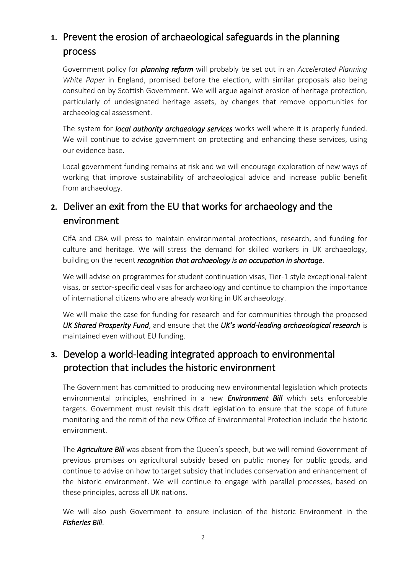# **1.** Prevent the erosion of archaeological safeguards in the planning process

Government policy for *planning reform* will probably be set out in an *Accelerated Planning White Paper* in England, promised before the election, with similar proposals also being consulted on by Scottish Government. We will argue against erosion of heritage protection, particularly of undesignated heritage assets, by changes that remove opportunities for archaeological assessment.

The system for *local authority archaeology services* works well where it is properly funded. We will continue to advise government on protecting and enhancing these services, using our evidence base.

Local government funding remains at risk and we will encourage exploration of new ways of working that improve sustainability of archaeological advice and increase public benefit from archaeology.

# **2.** Deliver an exit from the EU that works for archaeology and the environment

CIfA and CBA will press to maintain environmental protections, research, and funding for culture and heritage. We will stress the demand for skilled workers in UK archaeology, building on the recent *recognition that archaeology is an occupation in shortage*.

We will advise on programmes for student continuation visas, Tier-1 style exceptional-talent visas, or sector-specific deal visas for archaeology and continue to champion the importance of international citizens who are already working in UK archaeology.

We will make the case for funding for research and for communities through the proposed *UK Shared Prosperity Fund*, and ensure that the *UK's world-leading archaeological research* is maintained even without EU funding.

# **3.** Develop a world-leading integrated approach to environmental protection that includes the historic environment

The Government has committed to producing new environmental legislation which protects environmental principles, enshrined in a new *Environment Bill* which sets enforceable targets. Government must revisit this draft legislation to ensure that the scope of future monitoring and the remit of the new Office of Environmental Protection include the historic environment.

The *Agriculture Bill* was absent from the Queen's speech, but we will remind Government of previous promises on agricultural subsidy based on public money for public goods, and continue to advise on how to target subsidy that includes conservation and enhancement of the historic environment. We will continue to engage with parallel processes, based on these principles, across all UK nations.

We will also push Government to ensure inclusion of the historic Environment in the *Fisheries Bill*.